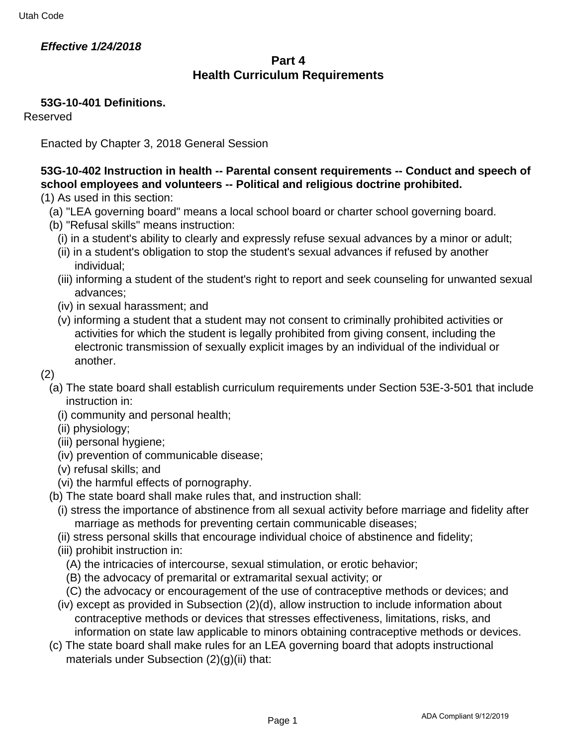## **Effective 1/24/2018**

## **Part 4 Health Curriculum Requirements**

## **53G-10-401 Definitions.**

Reserved

Enacted by Chapter 3, 2018 General Session

# **53G-10-402 Instruction in health -- Parental consent requirements -- Conduct and speech of school employees and volunteers -- Political and religious doctrine prohibited.**

- (1) As used in this section:
	- (a) "LEA governing board" means a local school board or charter school governing board.
	- (b) "Refusal skills" means instruction:
		- (i) in a student's ability to clearly and expressly refuse sexual advances by a minor or adult;
		- (ii) in a student's obligation to stop the student's sexual advances if refused by another individual;
		- (iii) informing a student of the student's right to report and seek counseling for unwanted sexual advances;
		- (iv) in sexual harassment; and
		- (v) informing a student that a student may not consent to criminally prohibited activities or activities for which the student is legally prohibited from giving consent, including the electronic transmission of sexually explicit images by an individual of the individual or another.

#### (2)

- (a) The state board shall establish curriculum requirements under Section 53E-3-501 that include instruction in:
	- (i) community and personal health;
	- (ii) physiology;
	- (iii) personal hygiene;
	- (iv) prevention of communicable disease;
	- (v) refusal skills; and
	- (vi) the harmful effects of pornography.
- (b) The state board shall make rules that, and instruction shall:
	- (i) stress the importance of abstinence from all sexual activity before marriage and fidelity after marriage as methods for preventing certain communicable diseases;
	- (ii) stress personal skills that encourage individual choice of abstinence and fidelity;
	- (iii) prohibit instruction in:
		- (A) the intricacies of intercourse, sexual stimulation, or erotic behavior;
		- (B) the advocacy of premarital or extramarital sexual activity; or
		- (C) the advocacy or encouragement of the use of contraceptive methods or devices; and
	- (iv) except as provided in Subsection (2)(d), allow instruction to include information about contraceptive methods or devices that stresses effectiveness, limitations, risks, and information on state law applicable to minors obtaining contraceptive methods or devices.
- (c) The state board shall make rules for an LEA governing board that adopts instructional materials under Subsection (2)(q)(ii) that: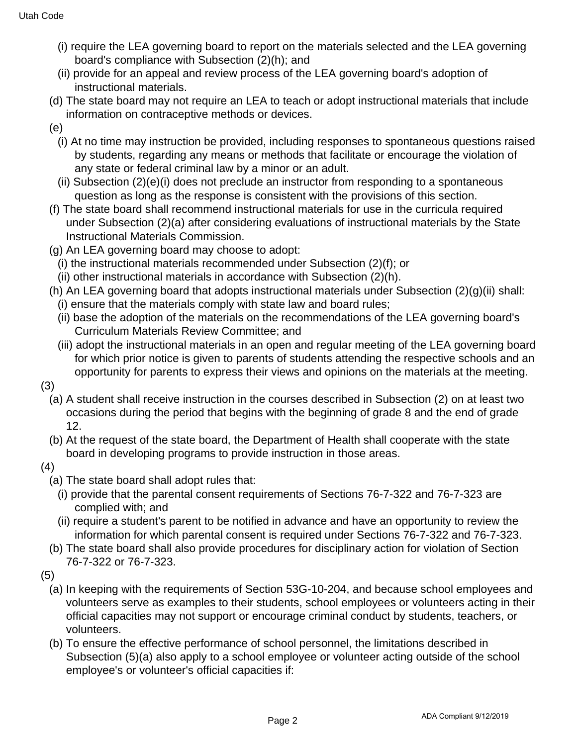- (i) require the LEA governing board to report on the materials selected and the LEA governing board's compliance with Subsection (2)(h); and
- (ii) provide for an appeal and review process of the LEA governing board's adoption of instructional materials.
- (d) The state board may not require an LEA to teach or adopt instructional materials that include information on contraceptive methods or devices.
- (e)
	- (i) At no time may instruction be provided, including responses to spontaneous questions raised by students, regarding any means or methods that facilitate or encourage the violation of any state or federal criminal law by a minor or an adult.
	- (ii) Subsection (2)(e)(i) does not preclude an instructor from responding to a spontaneous question as long as the response is consistent with the provisions of this section.
- (f) The state board shall recommend instructional materials for use in the curricula required under Subsection (2)(a) after considering evaluations of instructional materials by the State Instructional Materials Commission.
- (g) An LEA governing board may choose to adopt:
	- (i) the instructional materials recommended under Subsection (2)(f); or
	- (ii) other instructional materials in accordance with Subsection (2)(h).
- (h) An LEA governing board that adopts instructional materials under Subsection (2)(g)(ii) shall: (i) ensure that the materials comply with state law and board rules;
	- (ii) base the adoption of the materials on the recommendations of the LEA governing board's Curriculum Materials Review Committee; and
	- (iii) adopt the instructional materials in an open and regular meeting of the LEA governing board for which prior notice is given to parents of students attending the respective schools and an opportunity for parents to express their views and opinions on the materials at the meeting.
- (3)
	- (a) A student shall receive instruction in the courses described in Subsection (2) on at least two occasions during the period that begins with the beginning of grade 8 and the end of grade 12.
	- (b) At the request of the state board, the Department of Health shall cooperate with the state board in developing programs to provide instruction in those areas.
- (4)
	- (a) The state board shall adopt rules that:
		- (i) provide that the parental consent requirements of Sections 76-7-322 and 76-7-323 are complied with; and
		- (ii) require a student's parent to be notified in advance and have an opportunity to review the information for which parental consent is required under Sections 76-7-322 and 76-7-323.
	- (b) The state board shall also provide procedures for disciplinary action for violation of Section 76-7-322 or 76-7-323.
- (5)
	- (a) In keeping with the requirements of Section 53G-10-204, and because school employees and volunteers serve as examples to their students, school employees or volunteers acting in their official capacities may not support or encourage criminal conduct by students, teachers, or volunteers.
	- (b) To ensure the effective performance of school personnel, the limitations described in Subsection (5)(a) also apply to a school employee or volunteer acting outside of the school employee's or volunteer's official capacities if: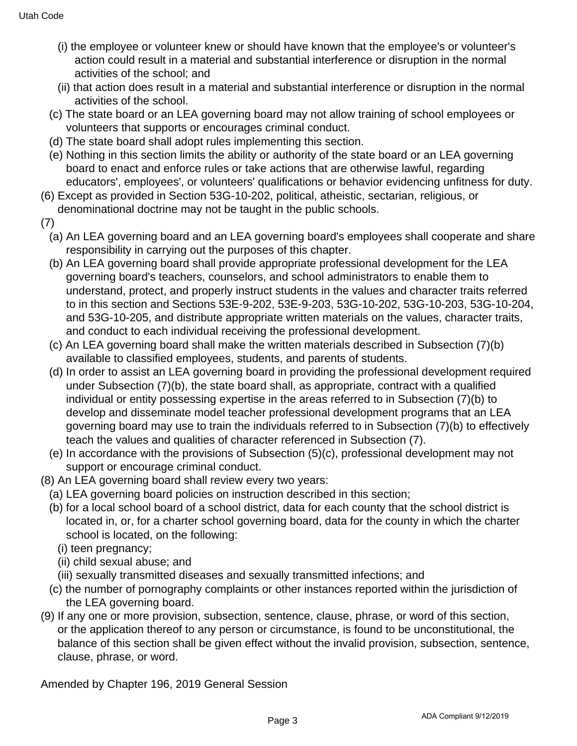- (i) the employee or volunteer knew or should have known that the employee's or volunteer's action could result in a material and substantial interference or disruption in the normal activities of the school; and
- (ii) that action does result in a material and substantial interference or disruption in the normal activities of the school.
- (c) The state board or an LEA governing board may not allow training of school employees or volunteers that supports or encourages criminal conduct.
- (d) The state board shall adopt rules implementing this section.
- (e) Nothing in this section limits the ability or authority of the state board or an LEA governing board to enact and enforce rules or take actions that are otherwise lawful, regarding educators', employees', or volunteers' qualifications or behavior evidencing unfitness for duty.
- (6) Except as provided in Section 53G-10-202, political, atheistic, sectarian, religious, or denominational doctrine may not be taught in the public schools.
- (7)
	- (a) An LEA governing board and an LEA governing board's employees shall cooperate and share responsibility in carrying out the purposes of this chapter.
	- (b) An LEA governing board shall provide appropriate professional development for the LEA governing board's teachers, counselors, and school administrators to enable them to understand, protect, and properly instruct students in the values and character traits referred to in this section and Sections 53E-9-202, 53E-9-203, 53G-10-202, 53G-10-203, 53G-10-204, and 53G-10-205, and distribute appropriate written materials on the values, character traits, and conduct to each individual receiving the professional development.
	- (c) An LEA governing board shall make the written materials described in Subsection (7)(b) available to classified employees, students, and parents of students.
	- (d) In order to assist an LEA governing board in providing the professional development required under Subsection (7)(b), the state board shall, as appropriate, contract with a qualified individual or entity possessing expertise in the areas referred to in Subsection (7)(b) to develop and disseminate model teacher professional development programs that an LEA governing board may use to train the individuals referred to in Subsection (7)(b) to effectively teach the values and qualities of character referenced in Subsection (7).
	- (e) In accordance with the provisions of Subsection (5)(c), professional development may not support or encourage criminal conduct.
- (8) An LEA governing board shall review every two years:
- (a) LEA governing board policies on instruction described in this section;
- (b) for a local school board of a school district, data for each county that the school district is located in, or, for a charter school governing board, data for the county in which the charter school is located, on the following:
	- (i) teen pregnancy;
	- (ii) child sexual abuse; and
	- (iii) sexually transmitted diseases and sexually transmitted infections; and
- (c) the number of pornography complaints or other instances reported within the jurisdiction of the LEA governing board.
- (9) If any one or more provision, subsection, sentence, clause, phrase, or word of this section, or the application thereof to any person or circumstance, is found to be unconstitutional, the balance of this section shall be given effect without the invalid provision, subsection, sentence, clause, phrase, or word.

Amended by Chapter 196, 2019 General Session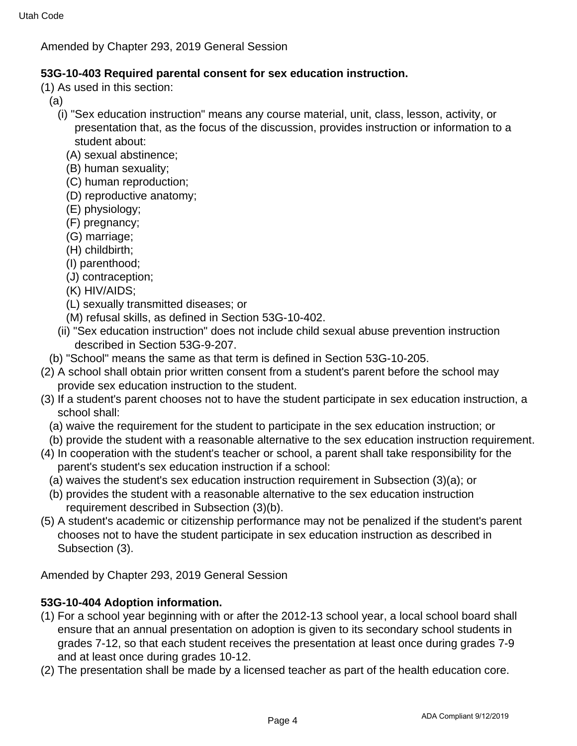Amended by Chapter 293, 2019 General Session

## **53G-10-403 Required parental consent for sex education instruction.**

- (1) As used in this section:
	- (a)
		- (i) "Sex education instruction" means any course material, unit, class, lesson, activity, or presentation that, as the focus of the discussion, provides instruction or information to a student about:
			- (A) sexual abstinence;
			- (B) human sexuality;
			- (C) human reproduction;
			- (D) reproductive anatomy;
			- (E) physiology;
			- (F) pregnancy;
			- (G) marriage;
			- (H) childbirth;
			- (I) parenthood;
			- (J) contraception;
			- (K) HIV/AIDS;
			- (L) sexually transmitted diseases; or
			- (M) refusal skills, as defined in Section 53G-10-402.
		- (ii) "Sex education instruction" does not include child sexual abuse prevention instruction described in Section 53G-9-207.
- (b) "School" means the same as that term is defined in Section 53G-10-205.
- (2) A school shall obtain prior written consent from a student's parent before the school may provide sex education instruction to the student.
- (3) If a student's parent chooses not to have the student participate in sex education instruction, a school shall:
	- (a) waive the requirement for the student to participate in the sex education instruction; or
	- (b) provide the student with a reasonable alternative to the sex education instruction requirement.
- (4) In cooperation with the student's teacher or school, a parent shall take responsibility for the parent's student's sex education instruction if a school:
	- (a) waives the student's sex education instruction requirement in Subsection (3)(a); or
	- (b) provides the student with a reasonable alternative to the sex education instruction requirement described in Subsection (3)(b).
- (5) A student's academic or citizenship performance may not be penalized if the student's parent chooses not to have the student participate in sex education instruction as described in Subsection (3).

Amended by Chapter 293, 2019 General Session

# **53G-10-404 Adoption information.**

- (1) For a school year beginning with or after the 2012-13 school year, a local school board shall ensure that an annual presentation on adoption is given to its secondary school students in grades 7-12, so that each student receives the presentation at least once during grades 7-9 and at least once during grades 10-12.
- (2) The presentation shall be made by a licensed teacher as part of the health education core.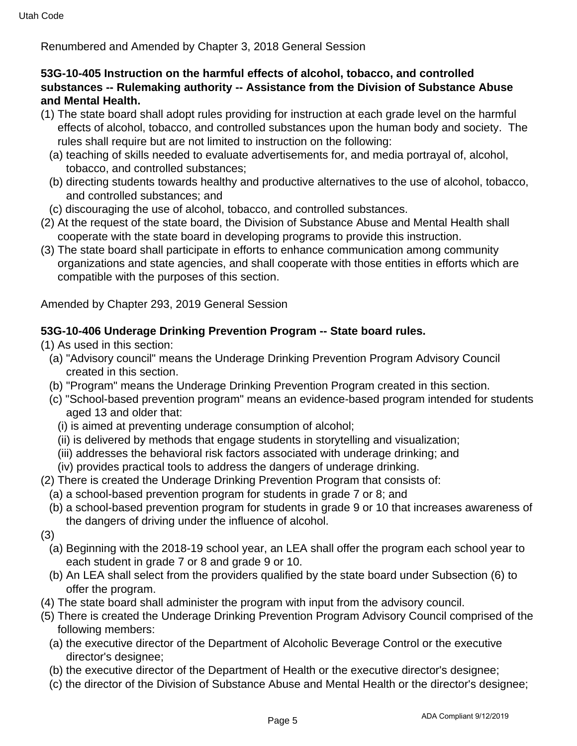Renumbered and Amended by Chapter 3, 2018 General Session

## **53G-10-405 Instruction on the harmful effects of alcohol, tobacco, and controlled substances -- Rulemaking authority -- Assistance from the Division of Substance Abuse and Mental Health.**

- (1) The state board shall adopt rules providing for instruction at each grade level on the harmful effects of alcohol, tobacco, and controlled substances upon the human body and society. The rules shall require but are not limited to instruction on the following:
	- (a) teaching of skills needed to evaluate advertisements for, and media portrayal of, alcohol, tobacco, and controlled substances;
	- (b) directing students towards healthy and productive alternatives to the use of alcohol, tobacco, and controlled substances; and
	- (c) discouraging the use of alcohol, tobacco, and controlled substances.
- (2) At the request of the state board, the Division of Substance Abuse and Mental Health shall cooperate with the state board in developing programs to provide this instruction.
- (3) The state board shall participate in efforts to enhance communication among community organizations and state agencies, and shall cooperate with those entities in efforts which are compatible with the purposes of this section.

Amended by Chapter 293, 2019 General Session

## **53G-10-406 Underage Drinking Prevention Program -- State board rules.**

(1) As used in this section:

- (a) "Advisory council" means the Underage Drinking Prevention Program Advisory Council created in this section.
- (b) "Program" means the Underage Drinking Prevention Program created in this section.
- (c) "School-based prevention program" means an evidence-based program intended for students aged 13 and older that:
	- (i) is aimed at preventing underage consumption of alcohol;
	- (ii) is delivered by methods that engage students in storytelling and visualization;
	- (iii) addresses the behavioral risk factors associated with underage drinking; and
	- (iv) provides practical tools to address the dangers of underage drinking.
- (2) There is created the Underage Drinking Prevention Program that consists of:
	- (a) a school-based prevention program for students in grade 7 or 8; and
	- (b) a school-based prevention program for students in grade 9 or 10 that increases awareness of the dangers of driving under the influence of alcohol.
- (3)
	- (a) Beginning with the 2018-19 school year, an LEA shall offer the program each school year to each student in grade 7 or 8 and grade 9 or 10.
	- (b) An LEA shall select from the providers qualified by the state board under Subsection (6) to offer the program.
- (4) The state board shall administer the program with input from the advisory council.
- (5) There is created the Underage Drinking Prevention Program Advisory Council comprised of the following members:
	- (a) the executive director of the Department of Alcoholic Beverage Control or the executive director's designee;
	- (b) the executive director of the Department of Health or the executive director's designee;
	- (c) the director of the Division of Substance Abuse and Mental Health or the director's designee;